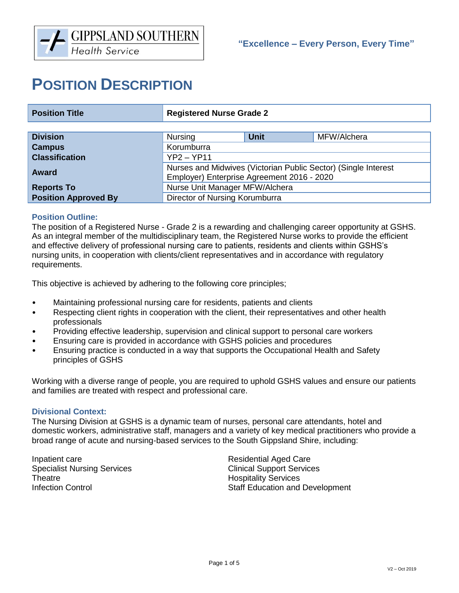# **POSITION DESCRIPTION**

| <b>Position Title</b>       | <b>Registered Nurse Grade 2</b>                                                                              |             |             |  |
|-----------------------------|--------------------------------------------------------------------------------------------------------------|-------------|-------------|--|
|                             |                                                                                                              |             |             |  |
| <b>Division</b>             | Nursing                                                                                                      | <b>Unit</b> | MFW/Alchera |  |
| <b>Campus</b>               | Korumburra                                                                                                   |             |             |  |
| <b>Classification</b>       | $YP2 - YP11$                                                                                                 |             |             |  |
| <b>Award</b>                | Nurses and Midwives (Victorian Public Sector) (Single Interest<br>Employer) Enterprise Agreement 2016 - 2020 |             |             |  |
| <b>Reports To</b>           | Nurse Unit Manager MFW/Alchera                                                                               |             |             |  |
| <b>Position Approved By</b> | Director of Nursing Korumburra                                                                               |             |             |  |

## **Position Outline:**

The position of a Registered Nurse - Grade 2 is a rewarding and challenging career opportunity at GSHS. As an integral member of the multidisciplinary team, the Registered Nurse works to provide the efficient and effective delivery of professional nursing care to patients, residents and clients within GSHS's nursing units, in cooperation with clients/client representatives and in accordance with regulatory requirements.

This objective is achieved by adhering to the following core principles;

- Maintaining professional nursing care for residents, patients and clients
- Respecting client rights in cooperation with the client, their representatives and other health professionals
- Providing effective leadership, supervision and clinical support to personal care workers
- Ensuring care is provided in accordance with GSHS policies and procedures
- Ensuring practice is conducted in a way that supports the Occupational Health and Safety principles of GSHS

Working with a diverse range of people, you are required to uphold GSHS values and ensure our patients and families are treated with respect and professional care.

#### **Divisional Context:**

The Nursing Division at GSHS is a dynamic team of nurses, personal care attendants, hotel and domestic workers, administrative staff, managers and a variety of key medical practitioners who provide a broad range of acute and nursing-based services to the South Gippsland Shire, including:

Inpatient care **Residential Aged Care** Specialist Nursing Services **Clinical Support Services** Theatre **Hospitality** Services

Infection Control **Infection Control** Staff Education and Development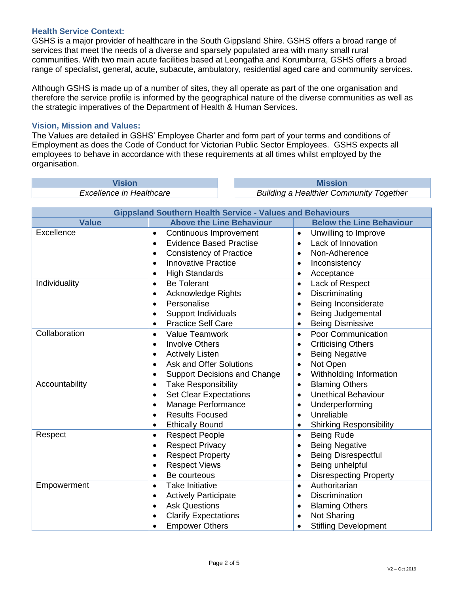## **Health Service Context:**

GSHS is a major provider of healthcare in the South Gippsland Shire. GSHS offers a broad range of services that meet the needs of a diverse and sparsely populated area with many small rural communities. With two main acute facilities based at Leongatha and Korumburra, GSHS offers a broad range of specialist, general, acute, subacute, ambulatory, residential aged care and community services.

Although GSHS is made up of a number of sites, they all operate as part of the one organisation and therefore the service profile is informed by the geographical nature of the diverse communities as well as the strategic imperatives of the Department of Health & Human Services.

## **Vision, Mission and Values:**

The Values are detailed in GSHS' Employee Charter and form part of your terms and conditions of Employment as does the Code of Conduct for Victorian Public Sector Employees. GSHS expects all employees to behave in accordance with these requirements at all times whilst employed by the organisation.

**Vision Mission**

*Excellence in Healthcare Building a Healthier Community Together*

| <b>Gippsland Southern Health Service - Values and Behaviours</b> |                                                  |                                             |  |  |
|------------------------------------------------------------------|--------------------------------------------------|---------------------------------------------|--|--|
| <b>Value</b>                                                     | <b>Above the Line Behaviour</b>                  | <b>Below the Line Behaviour</b>             |  |  |
| Excellence                                                       | Continuous Improvement<br>$\bullet$              | Unwilling to Improve<br>$\bullet$           |  |  |
|                                                                  | <b>Evidence Based Practise</b><br>$\bullet$      | Lack of Innovation<br>$\bullet$             |  |  |
|                                                                  | <b>Consistency of Practice</b><br>$\bullet$      | Non-Adherence<br>$\bullet$                  |  |  |
|                                                                  | <b>Innovative Practice</b><br>$\bullet$          | Inconsistency<br>$\bullet$                  |  |  |
|                                                                  | <b>High Standards</b><br>$\bullet$               | Acceptance<br>$\bullet$                     |  |  |
| Individuality                                                    | <b>Be Tolerant</b><br>$\bullet$                  | Lack of Respect<br>$\bullet$                |  |  |
|                                                                  | <b>Acknowledge Rights</b><br>$\bullet$           | Discriminating<br>$\bullet$                 |  |  |
|                                                                  | Personalise<br>$\bullet$                         | Being Inconsiderate<br>$\bullet$            |  |  |
|                                                                  | <b>Support Individuals</b><br>$\bullet$          | Being Judgemental<br>$\bullet$              |  |  |
|                                                                  | <b>Practice Self Care</b><br>$\bullet$           | <b>Being Dismissive</b>                     |  |  |
| Collaboration                                                    | <b>Value Teamwork</b><br>$\bullet$               | Poor Communication<br>$\bullet$             |  |  |
|                                                                  | <b>Involve Others</b><br>$\bullet$               | <b>Criticising Others</b><br>$\bullet$      |  |  |
|                                                                  | <b>Actively Listen</b><br>$\bullet$              | <b>Being Negative</b><br>$\bullet$          |  |  |
|                                                                  | <b>Ask and Offer Solutions</b><br>$\bullet$      | Not Open<br>$\bullet$                       |  |  |
|                                                                  | <b>Support Decisions and Change</b><br>$\bullet$ | Withholding Information<br>$\bullet$        |  |  |
| Accountability                                                   | <b>Take Responsibility</b><br>$\bullet$          | <b>Blaming Others</b><br>$\bullet$          |  |  |
|                                                                  | <b>Set Clear Expectations</b><br>$\bullet$       | <b>Unethical Behaviour</b><br>$\bullet$     |  |  |
|                                                                  | Manage Performance<br>$\bullet$                  | Underperforming<br>$\bullet$                |  |  |
|                                                                  | <b>Results Focused</b><br>$\bullet$              | Unreliable<br>$\bullet$                     |  |  |
|                                                                  | <b>Ethically Bound</b><br>$\bullet$              | <b>Shirking Responsibility</b><br>$\bullet$ |  |  |
| Respect                                                          | <b>Respect People</b><br>$\bullet$               | <b>Being Rude</b><br>$\bullet$              |  |  |
|                                                                  | <b>Respect Privacy</b><br>$\bullet$              | <b>Being Negative</b><br>$\bullet$          |  |  |
|                                                                  | <b>Respect Property</b><br>$\bullet$             | <b>Being Disrespectful</b><br>$\bullet$     |  |  |
|                                                                  | <b>Respect Views</b><br>$\bullet$                | Being unhelpful<br>$\bullet$                |  |  |
|                                                                  | Be courteous<br>$\bullet$                        | <b>Disrespecting Property</b><br>$\bullet$  |  |  |
| Empowerment                                                      | <b>Take Initiative</b><br>$\bullet$              | Authoritarian<br>$\bullet$                  |  |  |
|                                                                  | <b>Actively Participate</b><br>$\bullet$         | <b>Discrimination</b><br>$\bullet$          |  |  |
|                                                                  | <b>Ask Questions</b>                             | <b>Blaming Others</b><br>$\bullet$          |  |  |
|                                                                  | <b>Clarify Expectations</b>                      | Not Sharing<br>$\bullet$                    |  |  |
|                                                                  | <b>Empower Others</b>                            | <b>Stifling Development</b>                 |  |  |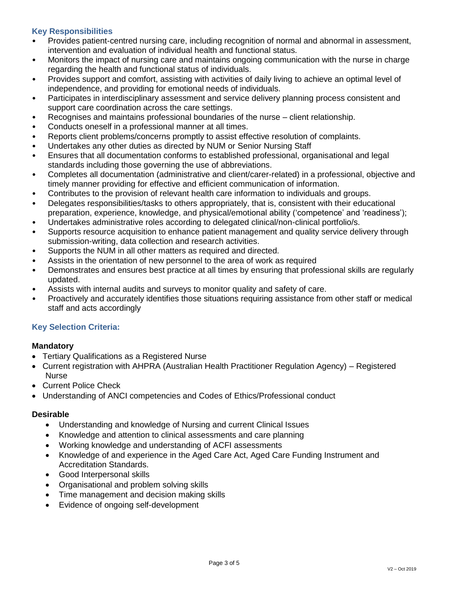# **Key Responsibilities**

- Provides patient-centred nursing care, including recognition of normal and abnormal in assessment, intervention and evaluation of individual health and functional status.
- Monitors the impact of nursing care and maintains ongoing communication with the nurse in charge regarding the health and functional status of individuals.
- Provides support and comfort, assisting with activities of daily living to achieve an optimal level of independence, and providing for emotional needs of individuals.
- Participates in interdisciplinary assessment and service delivery planning process consistent and support care coordination across the care settings.
- Recognises and maintains professional boundaries of the nurse client relationship.
- Conducts oneself in a professional manner at all times.
- Reports client problems/concerns promptly to assist effective resolution of complaints.
- Undertakes any other duties as directed by NUM or Senior Nursing Staff
- Ensures that all documentation conforms to established professional, organisational and legal standards including those governing the use of abbreviations.
- Completes all documentation (administrative and client/carer-related) in a professional, objective and timely manner providing for effective and efficient communication of information.
- Contributes to the provision of relevant health care information to individuals and groups.
- Delegates responsibilities/tasks to others appropriately, that is, consistent with their educational preparation, experience, knowledge, and physical/emotional ability ('competence' and 'readiness');
- Undertakes administrative roles according to delegated clinical/non-clinical portfolio/s.
- Supports resource acquisition to enhance patient management and quality service delivery through submission-writing, data collection and research activities.
- Supports the NUM in all other matters as required and directed.
- Assists in the orientation of new personnel to the area of work as required
- Demonstrates and ensures best practice at all times by ensuring that professional skills are regularly updated.
- Assists with internal audits and surveys to monitor quality and safety of care.
- Proactively and accurately identifies those situations requiring assistance from other staff or medical staff and acts accordingly

# **Key Selection Criteria:**

## **Mandatory**

- Tertiary Qualifications as a Registered Nurse
- Current registration with AHPRA (Australian Health Practitioner Regulation Agency) Registered Nurse
- Current Police Check
- Understanding of ANCI competencies and Codes of Ethics/Professional conduct

## **Desirable**

- Understanding and knowledge of Nursing and current Clinical Issues
- Knowledge and attention to clinical assessments and care planning
- Working knowledge and understanding of ACFI assessments
- Knowledge of and experience in the Aged Care Act, Aged Care Funding Instrument and Accreditation Standards.
- Good Interpersonal skills
- Organisational and problem solving skills
- Time management and decision making skills
- Evidence of ongoing self-development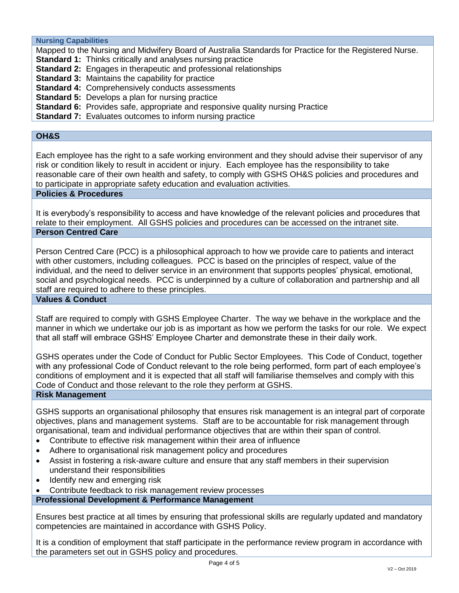**Nursing Capabilities**

Mapped to the Nursing and Midwifery Board of Australia Standards for Practice for the Registered Nurse. **Standard 1:** Thinks critically and analyses nursing practice **Standard 2:** Engages in therapeutic and professional relationships **Standard 3: Maintains the capability for practice Standard 4:** Comprehensively conducts assessments **Standard 5:** Develops a plan for nursing practice **Standard 6:** Provides safe, appropriate and responsive quality nursing Practice

**Standard 7:** Evaluates outcomes to inform nursing practice

# **OH&S**

Each employee has the right to a safe working environment and they should advise their supervisor of any risk or condition likely to result in accident or injury. Each employee has the responsibility to take reasonable care of their own health and safety, to comply with GSHS OH&S policies and procedures and to participate in appropriate safety education and evaluation activities.

#### **Policies & Procedures**

It is everybody's responsibility to access and have knowledge of the relevant policies and procedures that relate to their employment. All GSHS policies and procedures can be accessed on the intranet site. **Person Centred Care**

Person Centred Care (PCC) is a philosophical approach to how we provide care to patients and interact with other customers, including colleagues. PCC is based on the principles of respect, value of the individual, and the need to deliver service in an environment that supports peoples' physical, emotional, social and psychological needs. PCC is underpinned by a culture of collaboration and partnership and all staff are required to adhere to these principles.

**Values & Conduct**

Staff are required to comply with GSHS Employee Charter. The way we behave in the workplace and the manner in which we undertake our job is as important as how we perform the tasks for our role. We expect that all staff will embrace GSHS' Employee Charter and demonstrate these in their daily work.

GSHS operates under the Code of Conduct for Public Sector Employees. This Code of Conduct, together with any professional Code of Conduct relevant to the role being performed, form part of each employee's conditions of employment and it is expected that all staff will familiarise themselves and comply with this Code of Conduct and those relevant to the role they perform at GSHS.

#### **Risk Management**

GSHS supports an organisational philosophy that ensures risk management is an integral part of corporate objectives, plans and management systems. Staff are to be accountable for risk management through organisational, team and individual performance objectives that are within their span of control.

- Contribute to effective risk management within their area of influence
- Adhere to organisational risk management policy and procedures
- Assist in fostering a risk-aware culture and ensure that any staff members in their supervision understand their responsibilities
- Identify new and emerging risk
- Contribute feedback to risk management review processes

**Professional Development & Performance Management**

Ensures best practice at all times by ensuring that professional skills are regularly updated and mandatory competencies are maintained in accordance with GSHS Policy.

It is a condition of employment that staff participate in the performance review program in accordance with the parameters set out in GSHS policy and procedures.